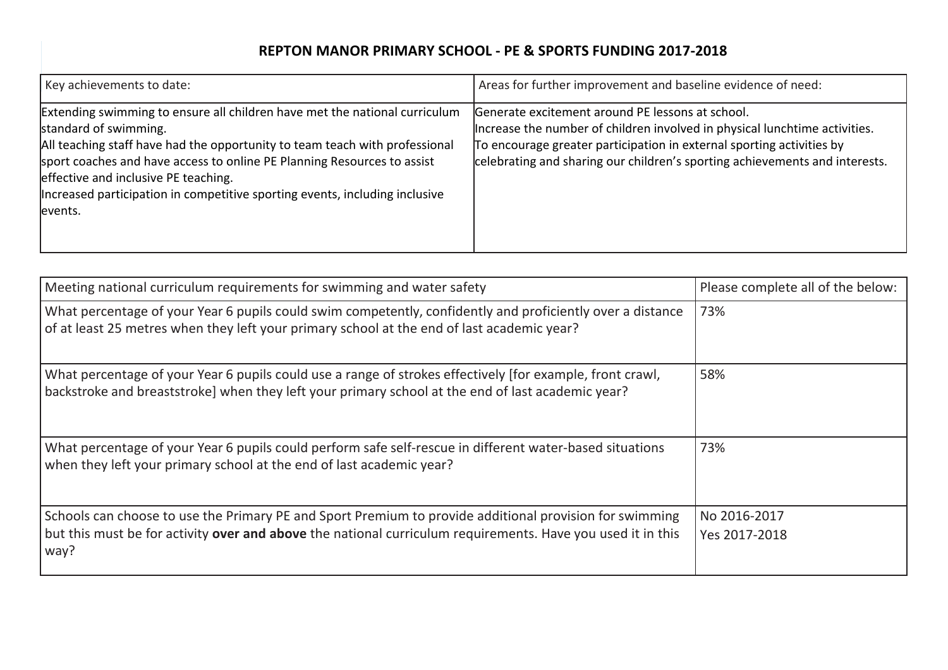## **REPTON MANOR PRIMARY SCHOOL - PE & SPORTS FUNDING 2017-2018**

| Key achievements to date:                                                                                                                                                                                                                                                                                                                                                                       | Areas for further improvement and baseline evidence of need:                                                                                                                                                                                                                           |
|-------------------------------------------------------------------------------------------------------------------------------------------------------------------------------------------------------------------------------------------------------------------------------------------------------------------------------------------------------------------------------------------------|----------------------------------------------------------------------------------------------------------------------------------------------------------------------------------------------------------------------------------------------------------------------------------------|
| Extending swimming to ensure all children have met the national curriculum<br>standard of swimming.<br>All teaching staff have had the opportunity to team teach with professional<br>sport coaches and have access to online PE Planning Resources to assist<br>effective and inclusive PE teaching.<br>Increased participation in competitive sporting events, including inclusive<br>events. | Generate excitement around PE lessons at school.<br>Increase the number of children involved in physical lunchtime activities.<br>To encourage greater participation in external sporting activities by<br>celebrating and sharing our children's sporting achievements and interests. |

| Meeting national curriculum requirements for swimming and water safety                                                                                                                                                         | Please complete all of the below: |
|--------------------------------------------------------------------------------------------------------------------------------------------------------------------------------------------------------------------------------|-----------------------------------|
| What percentage of your Year 6 pupils could swim competently, confidently and proficiently over a distance<br>of at least 25 metres when they left your primary school at the end of last academic year?                       | 73%                               |
| What percentage of your Year 6 pupils could use a range of strokes effectively [for example, front crawl,<br>backstroke and breaststroke] when they left your primary school at the end of last academic year?                 | 58%                               |
| What percentage of your Year 6 pupils could perform safe self-rescue in different water-based situations<br>when they left your primary school at the end of last academic year?                                               | 73%                               |
| Schools can choose to use the Primary PE and Sport Premium to provide additional provision for swimming<br>but this must be for activity over and above the national curriculum requirements. Have you used it in this<br>way? | No 2016-2017<br>Yes 2017-2018     |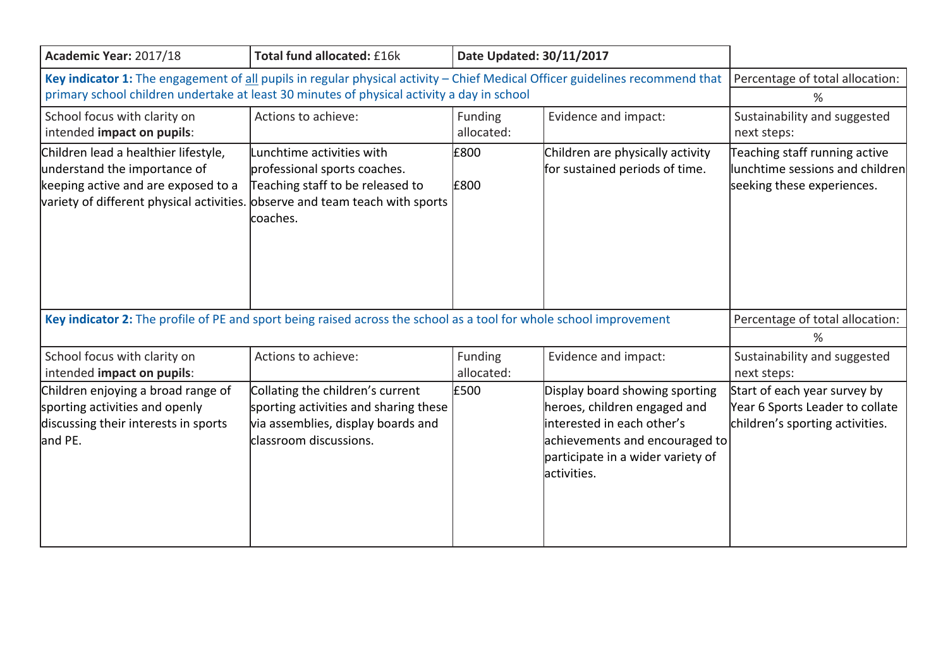| Academic Year: 2017/18                                                                                                                                                                                                     | Total fund allocated: £16k                                                                                                                | Date Updated: 30/11/2017 |                                                                                                                                                                                    |                                                                                                    |
|----------------------------------------------------------------------------------------------------------------------------------------------------------------------------------------------------------------------------|-------------------------------------------------------------------------------------------------------------------------------------------|--------------------------|------------------------------------------------------------------------------------------------------------------------------------------------------------------------------------|----------------------------------------------------------------------------------------------------|
| Key indicator 1: The engagement of all pupils in regular physical activity - Chief Medical Officer guidelines recommend that<br>primary school children undertake at least 30 minutes of physical activity a day in school | Percentage of total allocation:<br>%                                                                                                      |                          |                                                                                                                                                                                    |                                                                                                    |
| School focus with clarity on<br>intended impact on pupils:                                                                                                                                                                 | Actions to achieve:                                                                                                                       | Funding<br>allocated:    | Evidence and impact:                                                                                                                                                               | Sustainability and suggested<br>next steps:                                                        |
| Children lead a healthier lifestyle,<br>understand the importance of<br>keeping active and are exposed to a<br>variety of different physical activities. observe and team teach with sports                                | Lunchtime activities with<br>professional sports coaches.<br>Teaching staff to be released to<br>coaches.                                 | £800<br>£800             | Children are physically activity<br>for sustained periods of time.                                                                                                                 | Teaching staff running active<br>lunchtime sessions and children<br>seeking these experiences.     |
| Key indicator 2: The profile of PE and sport being raised across the school as a tool for whole school improvement                                                                                                         | Percentage of total allocation:<br>%                                                                                                      |                          |                                                                                                                                                                                    |                                                                                                    |
| School focus with clarity on<br>intended impact on pupils:                                                                                                                                                                 | Actions to achieve:                                                                                                                       | Funding<br>allocated:    | Evidence and impact:                                                                                                                                                               | Sustainability and suggested<br>next steps:                                                        |
| Children enjoying a broad range of<br>sporting activities and openly<br>discussing their interests in sports<br>and PE.                                                                                                    | Collating the children's current<br>sporting activities and sharing these<br>via assemblies, display boards and<br>classroom discussions. | £500                     | Display board showing sporting<br>heroes, children engaged and<br>interested in each other's<br>achievements and encouraged to<br>participate in a wider variety of<br>activities. | Start of each year survey by<br>Year 6 Sports Leader to collate<br>children's sporting activities. |